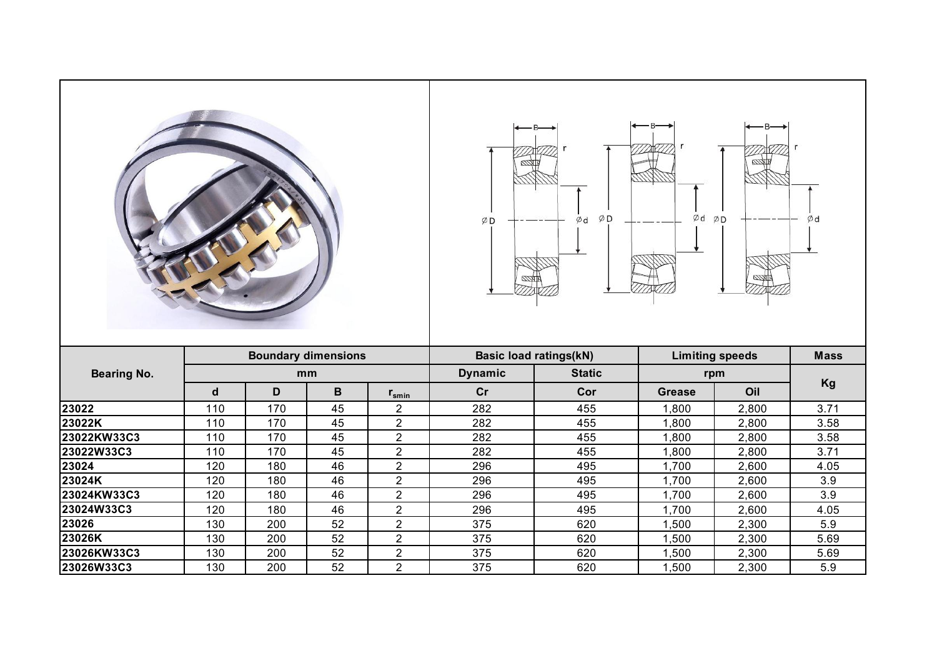| <b>Boundary dimensions</b><br><b>Basic load ratings(kN)</b><br><b>Limiting speeds</b><br><b>Mass</b><br><b>Static</b><br><b>Bearing No.</b><br><b>Dynamic</b><br>mm<br>rpm<br>Kg<br>D<br>B<br>Oil<br>$\mathsf{d}$<br>cr<br>Cor<br><b>Grease</b><br>$r_{\text{smin}}$<br>110<br>170<br>45<br>$\overline{2}$<br>282<br>455<br>2,800<br>3.71<br>1,800<br>45<br>$\overline{2}$<br>455<br>170<br>3.58<br>110<br>282<br>1,800<br>2,800<br>$\overline{2}$<br>45<br>282<br>455<br>3.58<br>110<br>170<br>1,800<br>2,800<br>45<br>$\overline{2}$<br>455<br>110<br>170<br>282<br>2,800<br>3.71<br>1,800<br>$\overline{2}$<br>120<br>46<br>495<br>180<br>296<br>1,700<br>2,600<br>4.05<br>$\overline{2}$<br>495<br>46<br>296<br>3.9<br>120<br>180<br>1,700<br>2,600<br>$\overline{2}$<br>120<br>180<br>46<br>296<br>495<br>1,700<br>2,600<br>3.9<br>$\overline{2}$<br>120<br>46<br>296<br>495<br>2,600<br>180<br>1,700<br>4.05<br>$\overline{2}$<br>52<br>375<br>620<br>5.9<br>130<br>200<br>2,300<br>1,500<br>$\overline{2}$<br>200<br>52<br>375<br>620<br>5.69<br>130<br>1,500<br>2,300<br>$\overline{2}$<br>52<br>130<br>200<br>375<br>620<br>5.69<br>1,500<br>2,300<br>$\overline{2}$<br>200<br>52<br>375<br>620<br>5.9<br>130<br>1,500<br>2,300 |             |  |  |  | ØD | $\varphi$ d |  |  |
|------------------------------------------------------------------------------------------------------------------------------------------------------------------------------------------------------------------------------------------------------------------------------------------------------------------------------------------------------------------------------------------------------------------------------------------------------------------------------------------------------------------------------------------------------------------------------------------------------------------------------------------------------------------------------------------------------------------------------------------------------------------------------------------------------------------------------------------------------------------------------------------------------------------------------------------------------------------------------------------------------------------------------------------------------------------------------------------------------------------------------------------------------------------------------------------------------------------------------------------|-------------|--|--|--|----|-------------|--|--|
|                                                                                                                                                                                                                                                                                                                                                                                                                                                                                                                                                                                                                                                                                                                                                                                                                                                                                                                                                                                                                                                                                                                                                                                                                                          |             |  |  |  |    |             |  |  |
|                                                                                                                                                                                                                                                                                                                                                                                                                                                                                                                                                                                                                                                                                                                                                                                                                                                                                                                                                                                                                                                                                                                                                                                                                                          |             |  |  |  |    |             |  |  |
|                                                                                                                                                                                                                                                                                                                                                                                                                                                                                                                                                                                                                                                                                                                                                                                                                                                                                                                                                                                                                                                                                                                                                                                                                                          |             |  |  |  |    |             |  |  |
|                                                                                                                                                                                                                                                                                                                                                                                                                                                                                                                                                                                                                                                                                                                                                                                                                                                                                                                                                                                                                                                                                                                                                                                                                                          | 23022       |  |  |  |    |             |  |  |
|                                                                                                                                                                                                                                                                                                                                                                                                                                                                                                                                                                                                                                                                                                                                                                                                                                                                                                                                                                                                                                                                                                                                                                                                                                          | 23022K      |  |  |  |    |             |  |  |
|                                                                                                                                                                                                                                                                                                                                                                                                                                                                                                                                                                                                                                                                                                                                                                                                                                                                                                                                                                                                                                                                                                                                                                                                                                          | 23022KW33C3 |  |  |  |    |             |  |  |
|                                                                                                                                                                                                                                                                                                                                                                                                                                                                                                                                                                                                                                                                                                                                                                                                                                                                                                                                                                                                                                                                                                                                                                                                                                          | 23022W33C3  |  |  |  |    |             |  |  |
|                                                                                                                                                                                                                                                                                                                                                                                                                                                                                                                                                                                                                                                                                                                                                                                                                                                                                                                                                                                                                                                                                                                                                                                                                                          | 23024       |  |  |  |    |             |  |  |
|                                                                                                                                                                                                                                                                                                                                                                                                                                                                                                                                                                                                                                                                                                                                                                                                                                                                                                                                                                                                                                                                                                                                                                                                                                          | 23024K      |  |  |  |    |             |  |  |
|                                                                                                                                                                                                                                                                                                                                                                                                                                                                                                                                                                                                                                                                                                                                                                                                                                                                                                                                                                                                                                                                                                                                                                                                                                          | 23024KW33C3 |  |  |  |    |             |  |  |
|                                                                                                                                                                                                                                                                                                                                                                                                                                                                                                                                                                                                                                                                                                                                                                                                                                                                                                                                                                                                                                                                                                                                                                                                                                          | 23024W33C3  |  |  |  |    |             |  |  |
|                                                                                                                                                                                                                                                                                                                                                                                                                                                                                                                                                                                                                                                                                                                                                                                                                                                                                                                                                                                                                                                                                                                                                                                                                                          | 23026       |  |  |  |    |             |  |  |
|                                                                                                                                                                                                                                                                                                                                                                                                                                                                                                                                                                                                                                                                                                                                                                                                                                                                                                                                                                                                                                                                                                                                                                                                                                          | 23026K      |  |  |  |    |             |  |  |
|                                                                                                                                                                                                                                                                                                                                                                                                                                                                                                                                                                                                                                                                                                                                                                                                                                                                                                                                                                                                                                                                                                                                                                                                                                          | 23026KW33C3 |  |  |  |    |             |  |  |
|                                                                                                                                                                                                                                                                                                                                                                                                                                                                                                                                                                                                                                                                                                                                                                                                                                                                                                                                                                                                                                                                                                                                                                                                                                          | 23026W33C3  |  |  |  |    |             |  |  |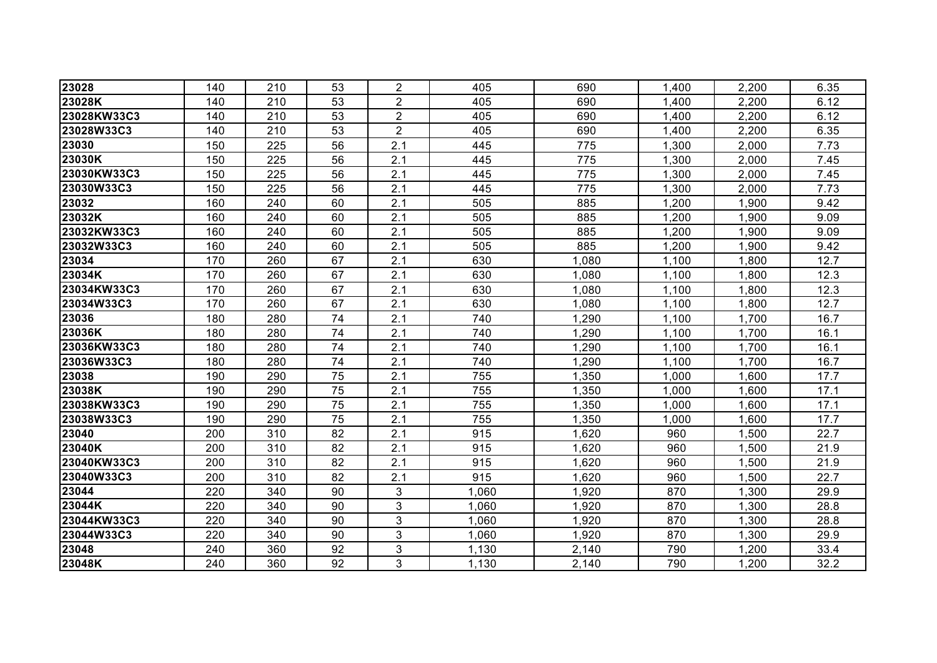| 23028       | 140 | 210 | 53 | $\overline{2}$ | 405   | 690   | 1,400 | 2,200 | 6.35 |
|-------------|-----|-----|----|----------------|-------|-------|-------|-------|------|
| 23028K      | 140 | 210 | 53 | $\overline{c}$ | 405   | 690   | 1,400 | 2,200 | 6.12 |
| 23028KW33C3 | 140 | 210 | 53 | $\overline{2}$ | 405   | 690   | 1,400 | 2,200 | 6.12 |
| 23028W33C3  | 140 | 210 | 53 | $\overline{2}$ | 405   | 690   | 1,400 | 2,200 | 6.35 |
| 23030       | 150 | 225 | 56 | 2.1            | 445   | 775   | 1,300 | 2,000 | 7.73 |
| 23030K      | 150 | 225 | 56 | 2.1            | 445   | 775   | 1,300 | 2,000 | 7.45 |
| 23030KW33C3 | 150 | 225 | 56 | 2.1            | 445   | 775   | 1,300 | 2,000 | 7.45 |
| 23030W33C3  | 150 | 225 | 56 | 2.1            | 445   | 775   | 1,300 | 2,000 | 7.73 |
| 23032       | 160 | 240 | 60 | 2.1            | 505   | 885   | 1,200 | 1,900 | 9.42 |
| 23032K      | 160 | 240 | 60 | 2.1            | 505   | 885   | 1,200 | 1,900 | 9.09 |
| 23032KW33C3 | 160 | 240 | 60 | 2.1            | 505   | 885   | 1,200 | 1,900 | 9.09 |
| 23032W33C3  | 160 | 240 | 60 | 2.1            | 505   | 885   | 1,200 | 1,900 | 9.42 |
| 23034       | 170 | 260 | 67 | 2.1            | 630   | 1,080 | 1,100 | 1,800 | 12.7 |
| 23034K      | 170 | 260 | 67 | 2.1            | 630   | 1,080 | 1,100 | 1,800 | 12.3 |
| 23034KW33C3 | 170 | 260 | 67 | 2.1            | 630   | 1,080 | 1,100 | 1,800 | 12.3 |
| 23034W33C3  | 170 | 260 | 67 | 2.1            | 630   | 1,080 | 1,100 | 1,800 | 12.7 |
| 23036       | 180 | 280 | 74 | 2.1            | 740   | 1,290 | 1,100 | 1,700 | 16.7 |
| 23036K      | 180 | 280 | 74 | 2.1            | 740   | 1,290 | 1,100 | 1,700 | 16.1 |
| 23036KW33C3 | 180 | 280 | 74 | 2.1            | 740   | 1,290 | 1,100 | 1,700 | 16.1 |
| 23036W33C3  | 180 | 280 | 74 | 2.1            | 740   | 1,290 | 1,100 | 1,700 | 16.7 |
| 23038       | 190 | 290 | 75 | 2.1            | 755   | 1,350 | 1,000 | 1,600 | 17.7 |
| 23038K      | 190 | 290 | 75 | 2.1            | 755   | 1,350 | 1,000 | 1,600 | 17.1 |
| 23038KW33C3 | 190 | 290 | 75 | 2.1            | 755   | 1,350 | 1,000 | 1,600 | 17.1 |
| 23038W33C3  | 190 | 290 | 75 | 2.1            | 755   | 1,350 | 1,000 | 1,600 | 17.7 |
| 23040       | 200 | 310 | 82 | 2.1            | 915   | 1,620 | 960   | 1,500 | 22.7 |
| 23040K      | 200 | 310 | 82 | 2.1            | 915   | 1,620 | 960   | 1,500 | 21.9 |
| 23040KW33C3 | 200 | 310 | 82 | 2.1            | 915   | 1,620 | 960   | 1,500 | 21.9 |
| 23040W33C3  | 200 | 310 | 82 | 2.1            | 915   | 1,620 | 960   | 1,500 | 22.7 |
| 23044       | 220 | 340 | 90 | 3              | 1,060 | 1,920 | 870   | 1,300 | 29.9 |
| 23044K      | 220 | 340 | 90 | 3              | 1,060 | 1,920 | 870   | 1,300 | 28.8 |
| 23044KW33C3 | 220 | 340 | 90 | 3              | 1,060 | 1,920 | 870   | 1,300 | 28.8 |
| 23044W33C3  | 220 | 340 | 90 | 3              | 1,060 | 1,920 | 870   | 1,300 | 29.9 |
| 23048       | 240 | 360 | 92 | 3              | 1,130 | 2,140 | 790   | 1,200 | 33.4 |
| 23048K      | 240 | 360 | 92 | 3              | 1,130 | 2,140 | 790   | 1,200 | 32.2 |